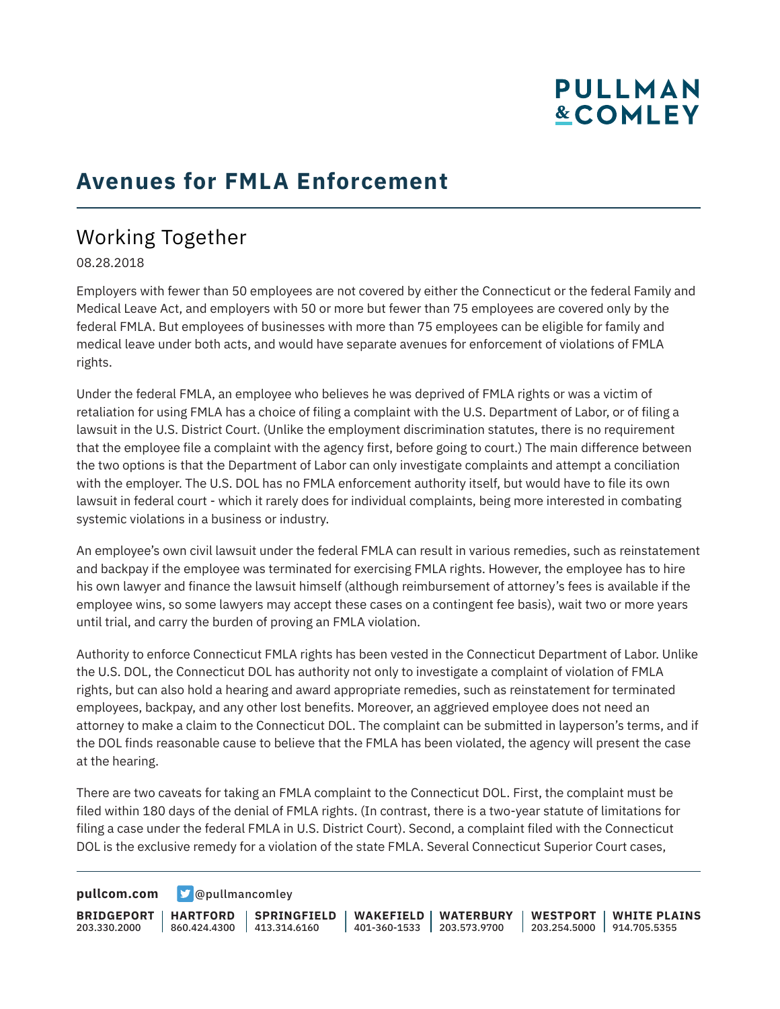# **PULLMAN &COMLEY**

### **Avenues for FMLA Enforcement**

### Working Together

08.28.2018

Employers with fewer than 50 employees are not covered by either the Connecticut or the federal Family and Medical Leave Act, and employers with 50 or more but fewer than 75 employees are covered only by the federal FMLA. But employees of businesses with more than 75 employees can be eligible for family and medical leave under both acts, and would have separate avenues for enforcement of violations of FMLA rights.

Under the federal FMLA, an employee who believes he was deprived of FMLA rights or was a victim of retaliation for using FMLA has a choice of filing a complaint with the U.S. Department of Labor, or of filing a lawsuit in the U.S. District Court. (Unlike the employment discrimination statutes, there is no requirement that the employee file a complaint with the agency first, before going to court.) The main difference between the two options is that the Department of Labor can only investigate complaints and attempt a conciliation with the employer. The U.S. DOL has no FMLA enforcement authority itself, but would have to file its own lawsuit in federal court - which it rarely does for individual complaints, being more interested in combating systemic violations in a business or industry.

An employee's own civil lawsuit under the federal FMLA can result in various remedies, such as reinstatement and backpay if the employee was terminated for exercising FMLA rights. However, the employee has to hire his own lawyer and finance the lawsuit himself (although reimbursement of attorney's fees is available if the employee wins, so some lawyers may accept these cases on a contingent fee basis), wait two or more years until trial, and carry the burden of proving an FMLA violation.

Authority to enforce Connecticut FMLA rights has been vested in the Connecticut Department of Labor. Unlike the U.S. DOL, the Connecticut DOL has authority not only to investigate a complaint of violation of FMLA rights, but can also hold a hearing and award appropriate remedies, such as reinstatement for terminated employees, backpay, and any other lost benefits. Moreover, an aggrieved employee does not need an attorney to make a claim to the Connecticut DOL. The complaint can be submitted in layperson's terms, and if the DOL finds reasonable cause to believe that the FMLA has been violated, the agency will present the case at the hearing.

There are two caveats for taking an FMLA complaint to the Connecticut DOL. First, the complaint must be filed within 180 days of the denial of FMLA rights. (In contrast, there is a two-year statute of limitations for filing a case under the federal FMLA in U.S. District Court). Second, a complaint filed with the Connecticut DOL is the exclusive remedy for a violation of the state FMLA. Several Connecticut Superior Court cases,

**[pullcom.com](https://www.pullcom.com) g** [@pullmancomley](https://twitter.com/PullmanComley)

**BRIDGEPORT HARTFORD** 203.330.2000 860.424.4300 413.314.6160 **SPRINGFIELD WAKEFIELD WATERBURY** 401-360-1533 203.573.9700 **WESTPORT WHITE PLAINS** 203.254.5000 914.705.5355